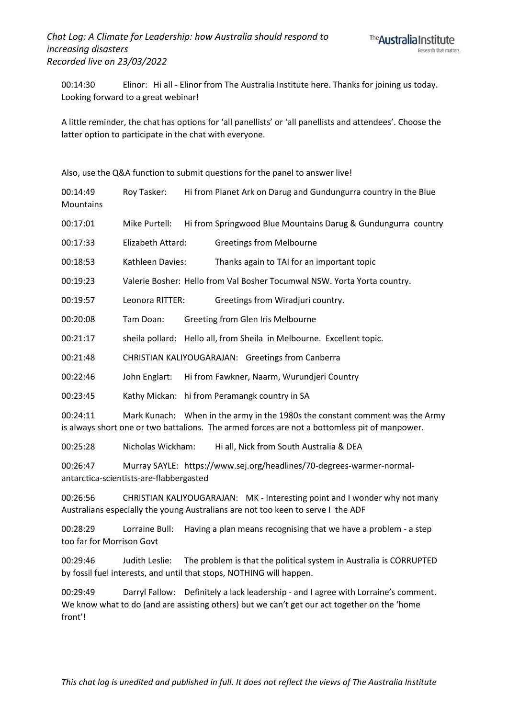00:14:30 Elinor: Hi all - Elinor from The Australia Institute here. Thanks for joining us today. Looking forward to a great webinar!

A little reminder, the chat has options for 'all panellists' or 'all panellists and attendees'. Choose the latter option to participate in the chat with everyone.

Also, use the Q&A function to submit questions for the panel to answer live!

| 00:14:49<br>Mountains | Roy Tasker:                             | Hi from Planet Ark on Darug and Gundungurra country in the Blue                                                                                                               |
|-----------------------|-----------------------------------------|-------------------------------------------------------------------------------------------------------------------------------------------------------------------------------|
| 00:17:01              | Mike Purtell:                           | Hi from Springwood Blue Mountains Darug & Gundungurra country                                                                                                                 |
| 00:17:33              | Elizabeth Attard:                       | <b>Greetings from Melbourne</b>                                                                                                                                               |
| 00:18:53              | Kathleen Davies:                        | Thanks again to TAI for an important topic                                                                                                                                    |
| 00:19:23              |                                         | Valerie Bosher: Hello from Val Bosher Tocumwal NSW. Yorta Yorta country.                                                                                                      |
| 00:19:57              | Leonora RITTER:                         | Greetings from Wiradjuri country.                                                                                                                                             |
| 00:20:08              | Tam Doan:                               | Greeting from Glen Iris Melbourne                                                                                                                                             |
| 00:21:17              |                                         | sheila pollard: Hello all, from Sheila in Melbourne. Excellent topic.                                                                                                         |
| 00:21:48              |                                         | CHRISTIAN KALIYOUGARAJAN: Greetings from Canberra                                                                                                                             |
| 00:22:46              | John Englart:                           | Hi from Fawkner, Naarm, Wurundjeri Country                                                                                                                                    |
| 00:23:45              |                                         | Kathy Mickan: hi from Peramangk country in SA                                                                                                                                 |
| 00:24:11              |                                         | Mark Kunach: When in the army in the 1980s the constant comment was the Army<br>is always short one or two battalions. The armed forces are not a bottomless pit of manpower. |
| 00:25:28              | Nicholas Wickham:                       | Hi all, Nick from South Australia & DEA                                                                                                                                       |
| 00:26:47              | antarctica-scientists-are-flabbergasted | Murray SAYLE: https://www.sej.org/headlines/70-degrees-warmer-normal-                                                                                                         |
| 00:26:56              |                                         | CHRISTIAN KALIYOUGARAJAN: MK - Interesting point and I wonder why not many<br>Australians especially the young Australians are not too keen to serve I the ADF                |

00:28:29 Lorraine Bull: Having a plan means recognising that we have a problem - a step too far for Morrison Govt

00:29:46 Judith Leslie: The problem is that the political system in Australia is CORRUPTED by fossil fuel interests, and until that stops, NOTHING will happen.

00:29:49 Darryl Fallow: Definitely a lack leadership - and I agree with Lorraine's comment. We know what to do (and are assisting others) but we can't get our act together on the 'home front'!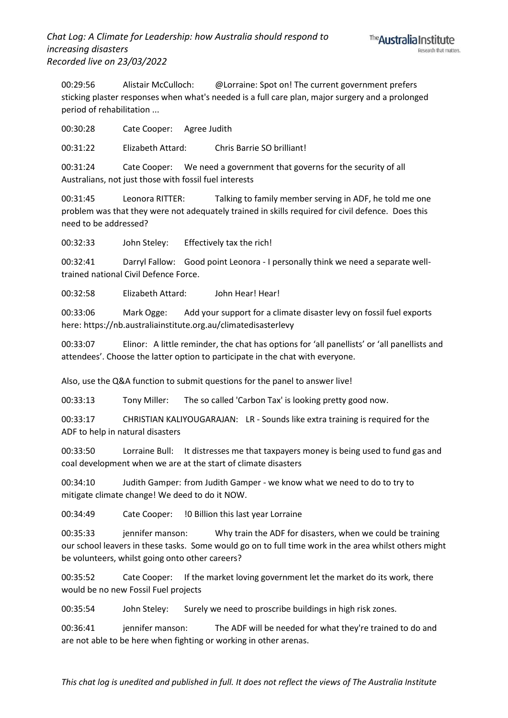00:29:56 Alistair McCulloch: @Lorraine: Spot on! The current government prefers sticking plaster responses when what's needed is a full care plan, major surgery and a prolonged period of rehabilitation ...

00:30:28 Cate Cooper: Agree Judith

00:31:22 Elizabeth Attard: Chris Barrie SO brilliant!

00:31:24 Cate Cooper: We need a government that governs for the security of all Australians, not just those with fossil fuel interests

00:31:45 Leonora RITTER: Talking to family member serving in ADF, he told me one problem was that they were not adequately trained in skills required for civil defence. Does this need to be addressed?

00:32:33 John Steley: Effectively tax the rich!

00:32:41 Darryl Fallow: Good point Leonora - I personally think we need a separate welltrained national Civil Defence Force.

00:32:58 Elizabeth Attard: John Hear! Hear!

00:33:06 Mark Ogge: Add your support for a climate disaster levy on fossil fuel exports here: https://nb.australiainstitute.org.au/climatedisasterlevy

00:33:07 Elinor: A little reminder, the chat has options for 'all panellists' or 'all panellists and attendees'. Choose the latter option to participate in the chat with everyone.

Also, use the Q&A function to submit questions for the panel to answer live!

00:33:13 Tony Miller: The so called 'Carbon Tax' is looking pretty good now.

00:33:17 CHRISTIAN KALIYOUGARAJAN: LR - Sounds like extra training is required for the ADF to help in natural disasters

00:33:50 Lorraine Bull: It distresses me that taxpayers money is being used to fund gas and coal development when we are at the start of climate disasters

00:34:10 Judith Gamper: from Judith Gamper - we know what we need to do to try to mitigate climate change! We deed to do it NOW.

00:34:49 Cate Cooper: !0 Billion this last year Lorraine

00:35:33 jennifer manson: Why train the ADF for disasters, when we could be training our school leavers in these tasks. Some would go on to full time work in the area whilst others might be volunteers, whilst going onto other careers?

00:35:52 Cate Cooper: If the market loving government let the market do its work, there would be no new Fossil Fuel projects

00:35:54 John Steley: Surely we need to proscribe buildings in high risk zones.

00:36:41 jennifer manson: The ADF will be needed for what they're trained to do and are not able to be here when fighting or working in other arenas.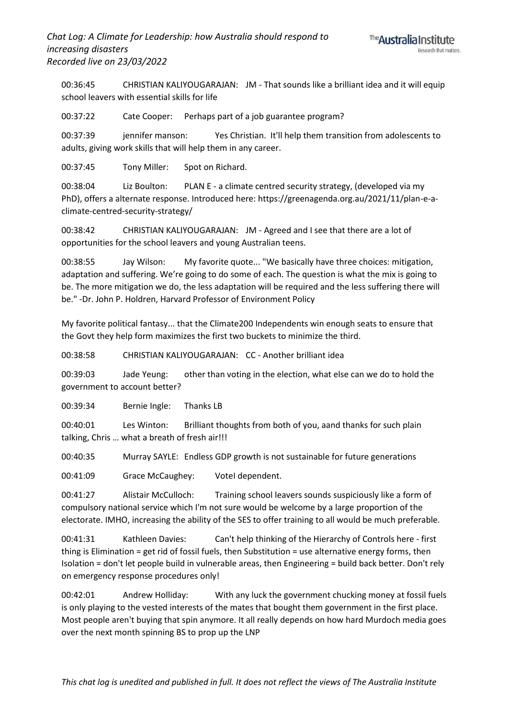00:36:45 CHRISTIAN KALIYOUGARAJAN: JM - That sounds like a brilliant idea and it will equip school leavers with essential skills for life

00:37:22 Cate Cooper: Perhaps part of a job guarantee program?

00:37:39 jennifer manson: Yes Christian. It'll help them transition from adolescents to adults, giving work skills that will help them in any career.

00:37:45 Tony Miller: Spot on Richard.

00:38:04 Liz Boulton: PLAN E - a climate centred security strategy, (developed via my PhD), offers a alternate response. Introduced here: https://greenagenda.org.au/2021/11/plan-e-aclimate-centred-security-strategy/

00:38:42 CHRISTIAN KALIYOUGARAJAN: JM - Agreed and I see that there are a lot of opportunities for the school leavers and young Australian teens.

00:38:55 Jay Wilson: My favorite quote... "We basically have three choices: mitigation, adaptation and suffering. We're going to do some of each. The question is what the mix is going to be. The more mitigation we do, the less adaptation will be required and the less suffering there will be." -Dr. John P. Holdren, Harvard Professor of Environment Policy

My favorite political fantasy... that the Climate200 Independents win enough seats to ensure that the Govt they help form maximizes the first two buckets to minimize the third.

00:38:58 CHRISTIAN KALIYOUGARAJAN: CC - Another brilliant idea

00:39:03 Jade Yeung: other than voting in the election, what else can we do to hold the government to account better?

00:39:34 Bernie Ingle: Thanks LB

00:40:01 Les Winton: Brilliant thoughts from both of you, aand thanks for such plain talking, Chris … what a breath of fresh air!!!

00:40:35 Murray SAYLE: Endless GDP growth is not sustainable for future generations

00:41:09 Grace McCaughey: VoteI dependent.

00:41:27 Alistair McCulloch: Training school leavers sounds suspiciously like a form of compulsory national service which I'm not sure would be welcome by a large proportion of the electorate. IMHO, increasing the ability of the SES to offer training to all would be much preferable.

00:41:31 Kathleen Davies: Can't help thinking of the Hierarchy of Controls here - first thing is Elimination = get rid of fossil fuels, then Substitution = use alternative energy forms, then Isolation = don't let people build in vulnerable areas, then Engineering = build back better. Don't rely on emergency response procedures only!

00:42:01 Andrew Holliday: With any luck the government chucking money at fossil fuels is only playing to the vested interests of the mates that bought them government in the first place. Most people aren't buying that spin anymore. It all really depends on how hard Murdoch media goes over the next month spinning BS to prop up the LNP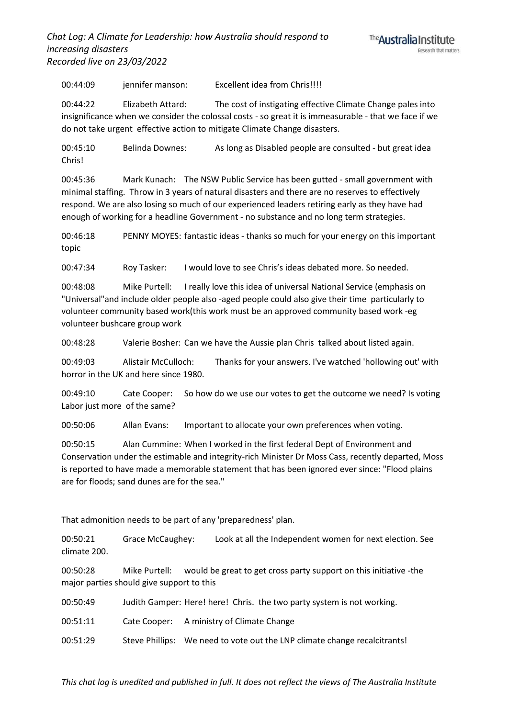*Chat Log: A Climate for Leadership: how Australia should respond to increasing disasters Recorded live on 23/03/2022*



00:44:09 jennifer manson: Excellent idea from Chris!!!!

00:44:22 Elizabeth Attard: The cost of instigating effective Climate Change pales into insignificance when we consider the colossal costs - so great it is immeasurable - that we face if we do not take urgent effective action to mitigate Climate Change disasters.

00:45:10 Belinda Downes: As long as Disabled people are consulted - but great idea Chris!

00:45:36 Mark Kunach: The NSW Public Service has been gutted - small government with minimal staffing. Throw in 3 years of natural disasters and there are no reserves to effectively respond. We are also losing so much of our experienced leaders retiring early as they have had enough of working for a headline Government - no substance and no long term strategies.

00:46:18 PENNY MOYES: fantastic ideas - thanks so much for your energy on this important topic

00:47:34 Roy Tasker: I would love to see Chris's ideas debated more. So needed.

00:48:08 Mike Purtell: I really love this idea of universal National Service (emphasis on "Universal"and include older people also -aged people could also give their time particularly to volunteer community based work(this work must be an approved community based work -eg volunteer bushcare group work

00:48:28 Valerie Bosher: Can we have the Aussie plan Chris talked about listed again.

00:49:03 Alistair McCulloch: Thanks for your answers. I've watched 'hollowing out' with horror in the UK and here since 1980.

00:49:10 Cate Cooper: So how do we use our votes to get the outcome we need? Is voting Labor just more of the same?

00:50:06 Allan Evans: Important to allocate your own preferences when voting.

00:50:15 Alan Cummine: When I worked in the first federal Dept of Environment and Conservation under the estimable and integrity-rich Minister Dr Moss Cass, recently departed, Moss is reported to have made a memorable statement that has been ignored ever since: "Flood plains are for floods; sand dunes are for the sea."

That admonition needs to be part of any 'preparedness' plan.

00:50:21 Grace McCaughey: Look at all the Independent women for next election. See climate 200.

00:50:28 Mike Purtell: would be great to get cross party support on this initiative -the major parties should give support to this

| 00:50:49 |  |  | Judith Gamper: Here! here! Chris. the two party system is not working. |  |
|----------|--|--|------------------------------------------------------------------------|--|
|----------|--|--|------------------------------------------------------------------------|--|

00:51:11 Cate Cooper: A ministry of Climate Change

00:51:29 Steve Phillips: We need to vote out the LNP climate change recalcitrants!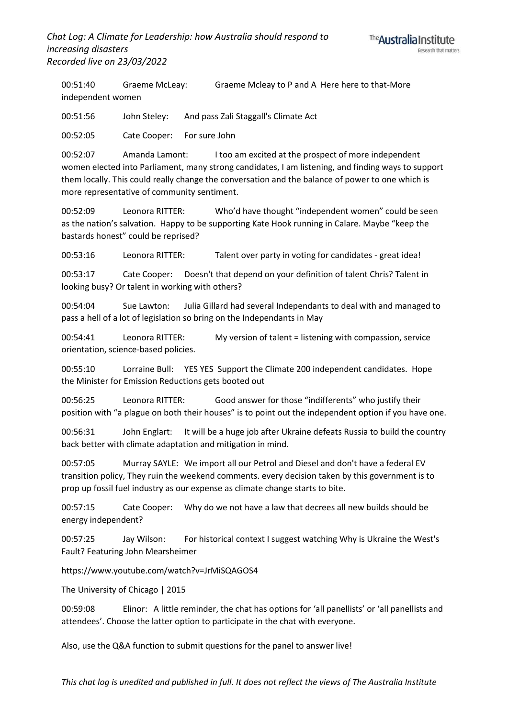00:51:40 Graeme McLeay: Graeme Mcleay to P and A Here here to that-More independent women

00:51:56 John Steley: And pass Zali Staggall's Climate Act

00:52:05 Cate Cooper: For sure John

00:52:07 Amanda Lamont: I too am excited at the prospect of more independent women elected into Parliament, many strong candidates, I am listening, and finding ways to support them locally. This could really change the conversation and the balance of power to one which is more representative of community sentiment.

00:52:09 Leonora RITTER: Who'd have thought "independent women" could be seen as the nation's salvation. Happy to be supporting Kate Hook running in Calare. Maybe "keep the bastards honest" could be reprised?

00:53:16 Leonora RITTER: Talent over party in voting for candidates - great idea!

00:53:17 Cate Cooper: Doesn't that depend on your definition of talent Chris? Talent in looking busy? Or talent in working with others?

00:54:04 Sue Lawton: Julia Gillard had several Independants to deal with and managed to pass a hell of a lot of legislation so bring on the Independants in May

00:54:41 Leonora RITTER: My version of talent = listening with compassion, service orientation, science-based policies.

00:55:10 Lorraine Bull: YES YES Support the Climate 200 independent candidates. Hope the Minister for Emission Reductions gets booted out

00:56:25 Leonora RITTER: Good answer for those "indifferents" who justify their position with "a plague on both their houses" is to point out the independent option if you have one.

00:56:31 John Englart: It will be a huge job after Ukraine defeats Russia to build the country back better with climate adaptation and mitigation in mind.

00:57:05 Murray SAYLE: We import all our Petrol and Diesel and don't have a federal EV transition policy, They ruin the weekend comments. every decision taken by this government is to prop up fossil fuel industry as our expense as climate change starts to bite.

00:57:15 Cate Cooper: Why do we not have a law that decrees all new builds should be energy independent?

00:57:25 Jay Wilson: For historical context I suggest watching Why is Ukraine the West's Fault? Featuring John Mearsheimer

https://www.youtube.com/watch?v=JrMiSQAGOS4

The University of Chicago | 2015

00:59:08 Elinor: A little reminder, the chat has options for 'all panellists' or 'all panellists and attendees'. Choose the latter option to participate in the chat with everyone.

Also, use the Q&A function to submit questions for the panel to answer live!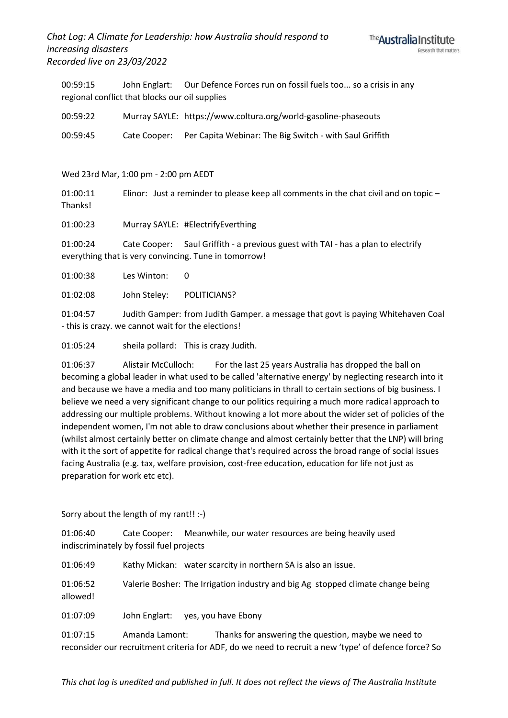## *Chat Log: A Climate for Leadership: how Australia should respond to increasing disasters Recorded live on 23/03/2022*



00:59:15 John Englart: Our Defence Forces run on fossil fuels too... so a crisis in any regional conflict that blocks our oil supplies

| 00:59:22 | Murray SAYLE: https://www.coltura.org/world-gasoline-phaseouts |
|----------|----------------------------------------------------------------|
|          |                                                                |

00:59:45 Cate Cooper: Per Capita Webinar: The Big Switch - with Saul Griffith

Wed 23rd Mar, 1:00 pm - 2:00 pm AEDT

01:00:11 Elinor: Just a reminder to please keep all comments in the chat civil and on topic – Thanks!

01:00:23 Murray SAYLE: #ElectrifyEverthing

01:00:24 Cate Cooper: Saul Griffith - a previous guest with TAI - has a plan to electrify everything that is very convincing. Tune in tomorrow!

01:00:38 Les Winton: 0

01:02:08 John Steley: POLITICIANS?

01:04:57 Judith Gamper: from Judith Gamper. a message that govt is paying Whitehaven Coal - this is crazy. we cannot wait for the elections!

01:05:24 sheila pollard: This is crazy Judith.

01:06:37 Alistair McCulloch: For the last 25 years Australia has dropped the ball on becoming a global leader in what used to be called 'alternative energy' by neglecting research into it and because we have a media and too many politicians in thrall to certain sections of big business. I believe we need a very significant change to our politics requiring a much more radical approach to addressing our multiple problems. Without knowing a lot more about the wider set of policies of the independent women, I'm not able to draw conclusions about whether their presence in parliament (whilst almost certainly better on climate change and almost certainly better that the LNP) will bring with it the sort of appetite for radical change that's required across the broad range of social issues facing Australia (e.g. tax, welfare provision, cost-free education, education for life not just as preparation for work etc etc).

Sorry about the length of my rant!! :-)

01:06:40 Cate Cooper: Meanwhile, our water resources are being heavily used indiscriminately by fossil fuel projects

01:06:49 Kathy Mickan: water scarcity in northern SA is also an issue.

01:06:52 Valerie Bosher: The Irrigation industry and big Ag stopped climate change being allowed!

01:07:09 John Englart: yes, you have Ebony

01:07:15 Amanda Lamont: Thanks for answering the question, maybe we need to reconsider our recruitment criteria for ADF, do we need to recruit a new 'type' of defence force? So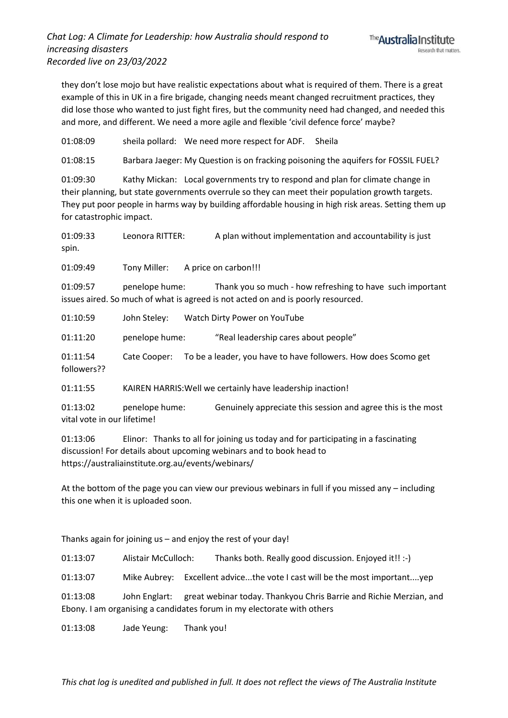they don't lose mojo but have realistic expectations about what is required of them. There is a great example of this in UK in a fire brigade, changing needs meant changed recruitment practices, they did lose those who wanted to just fight fires, but the community need had changed, and needed this and more, and different. We need a more agile and flexible 'civil defence force' maybe?

01:08:09 sheila pollard: We need more respect for ADF. Sheila

01:08:15 Barbara Jaeger: My Question is on fracking poisoning the aquifers for FOSSIL FUEL?

01:09:30 Kathy Mickan: Local governments try to respond and plan for climate change in their planning, but state governments overrule so they can meet their population growth targets. They put poor people in harms way by building affordable housing in high risk areas. Setting them up for catastrophic impact.

01:09:33 Leonora RITTER: A plan without implementation and accountability is just spin.

01:09:49 Tony Miller: A price on carbon!!!

01:09:57 penelope hume: Thank you so much - how refreshing to have such important issues aired. So much of what is agreed is not acted on and is poorly resourced.

01:10:59 John Steley: Watch Dirty Power on YouTube

01:11:20 penelope hume: "Real leadership cares about people"

01:11:54 Cate Cooper: To be a leader, you have to have followers. How does Scomo get followers??

01:11:55 KAIREN HARRIS:Well we certainly have leadership inaction!

01:13:02 penelope hume: Genuinely appreciate this session and agree this is the most vital vote in our lifetime!

01:13:06 Elinor: Thanks to all for joining us today and for participating in a fascinating discussion! For details about upcoming webinars and to book head to https://australiainstitute.org.au/events/webinars/

At the bottom of the page you can view our previous webinars in full if you missed any – including this one when it is uploaded soon.

Thanks again for joining us – and enjoy the rest of your day!

01:13:07 Alistair McCulloch: Thanks both. Really good discussion. Enjoyed it!! :-)

01:13:07 Mike Aubrey: Excellent advice...the vote I cast will be the most important....yep

01:13:08 John Englart: great webinar today. Thankyou Chris Barrie and Richie Merzian, and Ebony. I am organising a candidates forum in my electorate with others

01:13:08 Jade Yeung: Thank you!